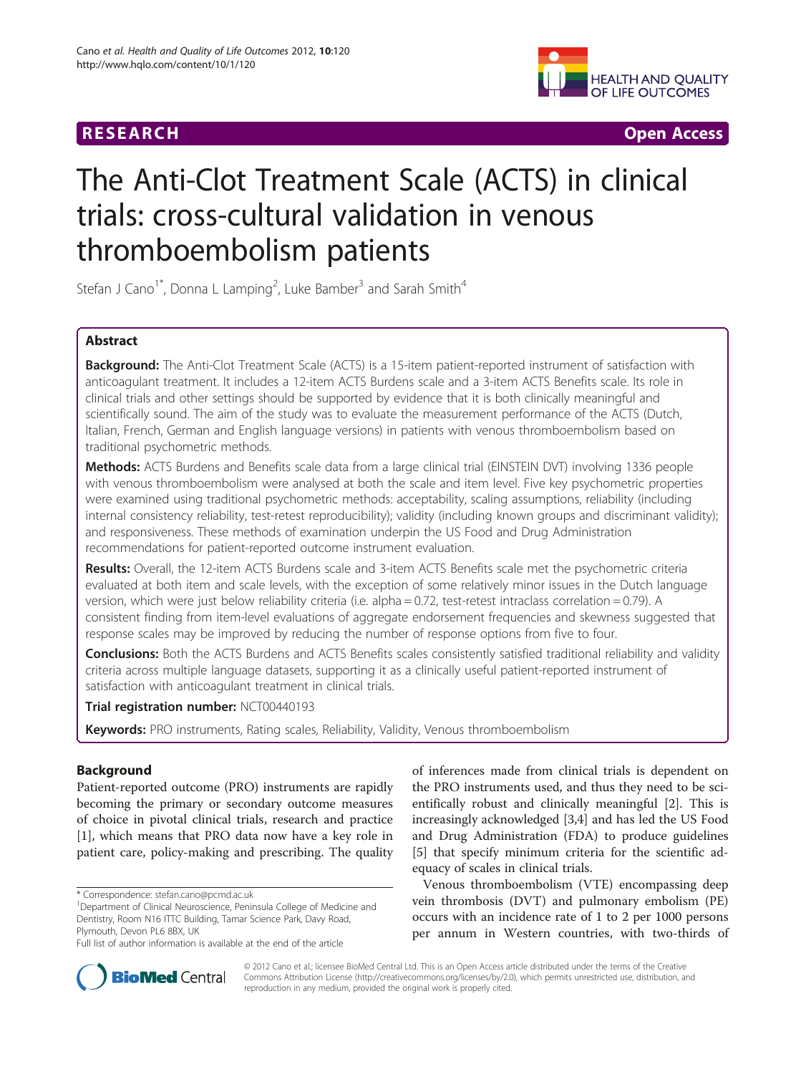# **RESEARCH CHILD CONTROL** CONTROL CONTROL CONTROL CONTROL CONTROL CONTROL CONTROL CONTROL CONTROL CONTROL CONTROL CONTROL CONTROL CONTROL CONTROL CONTROL CONTROL CONTROL CONTROL CONTROL CONTROL CONTROL CONTROL CONTROL CONTR



# The Anti-Clot Treatment Scale (ACTS) in clinical trials: cross-cultural validation in venous thromboembolism patients

Stefan J Cano<sup>1\*</sup>, Donna L Lamping<sup>2</sup>, Luke Bamber<sup>3</sup> and Sarah Smith<sup>4</sup>

# Abstract

Background: The Anti-Clot Treatment Scale (ACTS) is a 15-item patient-reported instrument of satisfaction with anticoagulant treatment. It includes a 12-item ACTS Burdens scale and a 3-item ACTS Benefits scale. Its role in clinical trials and other settings should be supported by evidence that it is both clinically meaningful and scientifically sound. The aim of the study was to evaluate the measurement performance of the ACTS (Dutch, Italian, French, German and English language versions) in patients with venous thromboembolism based on traditional psychometric methods.

Methods: ACTS Burdens and Benefits scale data from a large clinical trial (EINSTEIN DVT) involving 1336 people with venous thromboembolism were analysed at both the scale and item level. Five key psychometric properties were examined using traditional psychometric methods: acceptability, scaling assumptions, reliability (including internal consistency reliability, test-retest reproducibility); validity (including known groups and discriminant validity); and responsiveness. These methods of examination underpin the US Food and Drug Administration recommendations for patient-reported outcome instrument evaluation.

Results: Overall, the 12-item ACTS Burdens scale and 3-item ACTS Benefits scale met the psychometric criteria evaluated at both item and scale levels, with the exception of some relatively minor issues in the Dutch language version, which were just below reliability criteria (i.e. alpha = 0.72, test-retest intraclass correlation = 0.79). A consistent finding from item-level evaluations of aggregate endorsement frequencies and skewness suggested that response scales may be improved by reducing the number of response options from five to four.

Conclusions: Both the ACTS Burdens and ACTS Benefits scales consistently satisfied traditional reliability and validity criteria across multiple language datasets, supporting it as a clinically useful patient-reported instrument of satisfaction with anticoagulant treatment in clinical trials.

Trial registration number: NCT00440193

Keywords: PRO instruments, Rating scales, Reliability, Validity, Venous thromboembolism

# Background

Patient-reported outcome (PRO) instruments are rapidly becoming the primary or secondary outcome measures of choice in pivotal clinical trials, research and practice [[1\]](#page-9-0), which means that PRO data now have a key role in patient care, policy-making and prescribing. The quality

of inferences made from clinical trials is dependent on the PRO instruments used, and thus they need to be scientifically robust and clinically meaningful [\[2](#page-9-0)]. This is increasingly acknowledged [[3,4\]](#page-9-0) and has led the US Food and Drug Administration (FDA) to produce guidelines [[5\]](#page-9-0) that specify minimum criteria for the scientific adequacy of scales in clinical trials.

Venous thromboembolism (VTE) encompassing deep vein thrombosis (DVT) and pulmonary embolism (PE) occurs with an incidence rate of 1 to 2 per 1000 persons per annum in Western countries, with two-thirds of



© 2012 Cano et al.; licensee BioMed Central Ltd. This is an Open Access article distributed under the terms of the Creative Commons Attribution License [\(http://creativecommons.org/licenses/by/2.0\)](http://creativecommons.org/licenses/by/2.0), which permits unrestricted use, distribution, and reproduction in any medium, provided the original work is properly cited.

<sup>\*</sup> Correspondence: [stefan.cano@pcmd.ac.uk](mailto:stefan.cano@pcmd.ac.uk) <sup>1</sup>

<sup>&</sup>lt;sup>1</sup>Department of Clinical Neuroscience, Peninsula College of Medicine and Dentistry, Room N16 ITTC Building, Tamar Science Park, Davy Road, Plymouth, Devon PL6 8BX, UK

Full list of author information is available at the end of the article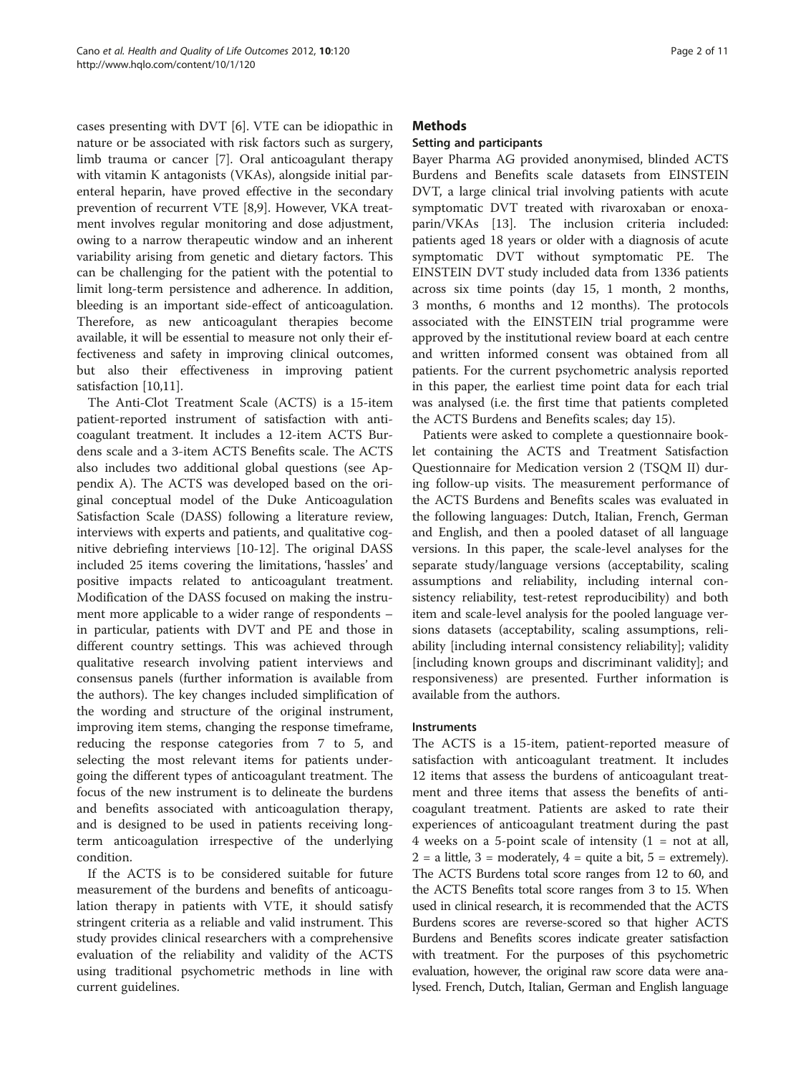cases presenting with DVT [\[6\]](#page-9-0). VTE can be idiopathic in nature or be associated with risk factors such as surgery, limb trauma or cancer [\[7\]](#page-9-0). Oral anticoagulant therapy with vitamin K antagonists (VKAs), alongside initial parenteral heparin, have proved effective in the secondary prevention of recurrent VTE [[8,9\]](#page-9-0). However, VKA treatment involves regular monitoring and dose adjustment, owing to a narrow therapeutic window and an inherent variability arising from genetic and dietary factors. This can be challenging for the patient with the potential to limit long-term persistence and adherence. In addition, bleeding is an important side-effect of anticoagulation. Therefore, as new anticoagulant therapies become available, it will be essential to measure not only their effectiveness and safety in improving clinical outcomes, but also their effectiveness in improving patient satisfaction [\[10,11](#page-9-0)].

The Anti-Clot Treatment Scale (ACTS) is a 15-item patient-reported instrument of satisfaction with anticoagulant treatment. It includes a 12-item ACTS Burdens scale and a 3-item ACTS Benefits scale. The ACTS also includes two additional global questions (see Appendix A). The ACTS was developed based on the original conceptual model of the Duke Anticoagulation Satisfaction Scale (DASS) following a literature review, interviews with experts and patients, and qualitative cognitive debriefing interviews [[10-12](#page-9-0)]. The original DASS included 25 items covering the limitations, 'hassles' and positive impacts related to anticoagulant treatment. Modification of the DASS focused on making the instrument more applicable to a wider range of respondents – in particular, patients with DVT and PE and those in different country settings. This was achieved through qualitative research involving patient interviews and consensus panels (further information is available from the authors). The key changes included simplification of the wording and structure of the original instrument, improving item stems, changing the response timeframe, reducing the response categories from 7 to 5, and selecting the most relevant items for patients undergoing the different types of anticoagulant treatment. The focus of the new instrument is to delineate the burdens and benefits associated with anticoagulation therapy, and is designed to be used in patients receiving longterm anticoagulation irrespective of the underlying condition.

If the ACTS is to be considered suitable for future measurement of the burdens and benefits of anticoagulation therapy in patients with VTE, it should satisfy stringent criteria as a reliable and valid instrument. This study provides clinical researchers with a comprehensive evaluation of the reliability and validity of the ACTS using traditional psychometric methods in line with current guidelines.

# **Methods**

# Setting and participants

Bayer Pharma AG provided anonymised, blinded ACTS Burdens and Benefits scale datasets from EINSTEIN DVT, a large clinical trial involving patients with acute symptomatic DVT treated with rivaroxaban or enoxaparin/VKAs [\[13](#page-9-0)]. The inclusion criteria included: patients aged 18 years or older with a diagnosis of acute symptomatic DVT without symptomatic PE. The EINSTEIN DVT study included data from 1336 patients across six time points (day 15, 1 month, 2 months, 3 months, 6 months and 12 months). The protocols associated with the EINSTEIN trial programme were approved by the institutional review board at each centre and written informed consent was obtained from all patients. For the current psychometric analysis reported in this paper, the earliest time point data for each trial was analysed (i.e. the first time that patients completed the ACTS Burdens and Benefits scales; day 15).

Patients were asked to complete a questionnaire booklet containing the ACTS and Treatment Satisfaction Questionnaire for Medication version 2 (TSQM II) during follow-up visits. The measurement performance of the ACTS Burdens and Benefits scales was evaluated in the following languages: Dutch, Italian, French, German and English, and then a pooled dataset of all language versions. In this paper, the scale-level analyses for the separate study/language versions (acceptability, scaling assumptions and reliability, including internal consistency reliability, test-retest reproducibility) and both item and scale-level analysis for the pooled language versions datasets (acceptability, scaling assumptions, reliability [including internal consistency reliability]; validity [including known groups and discriminant validity]; and responsiveness) are presented. Further information is available from the authors.

# **Instruments**

The ACTS is a 15-item, patient-reported measure of satisfaction with anticoagulant treatment. It includes 12 items that assess the burdens of anticoagulant treatment and three items that assess the benefits of anticoagulant treatment. Patients are asked to rate their experiences of anticoagulant treatment during the past 4 weeks on a 5-point scale of intensity (1 = not at all,  $2 = a$  little,  $3 =$  moderately,  $4 =$  quite a bit,  $5 =$  extremely). The ACTS Burdens total score ranges from 12 to 60, and the ACTS Benefits total score ranges from 3 to 15. When used in clinical research, it is recommended that the ACTS Burdens scores are reverse-scored so that higher ACTS Burdens and Benefits scores indicate greater satisfaction with treatment. For the purposes of this psychometric evaluation, however, the original raw score data were analysed. French, Dutch, Italian, German and English language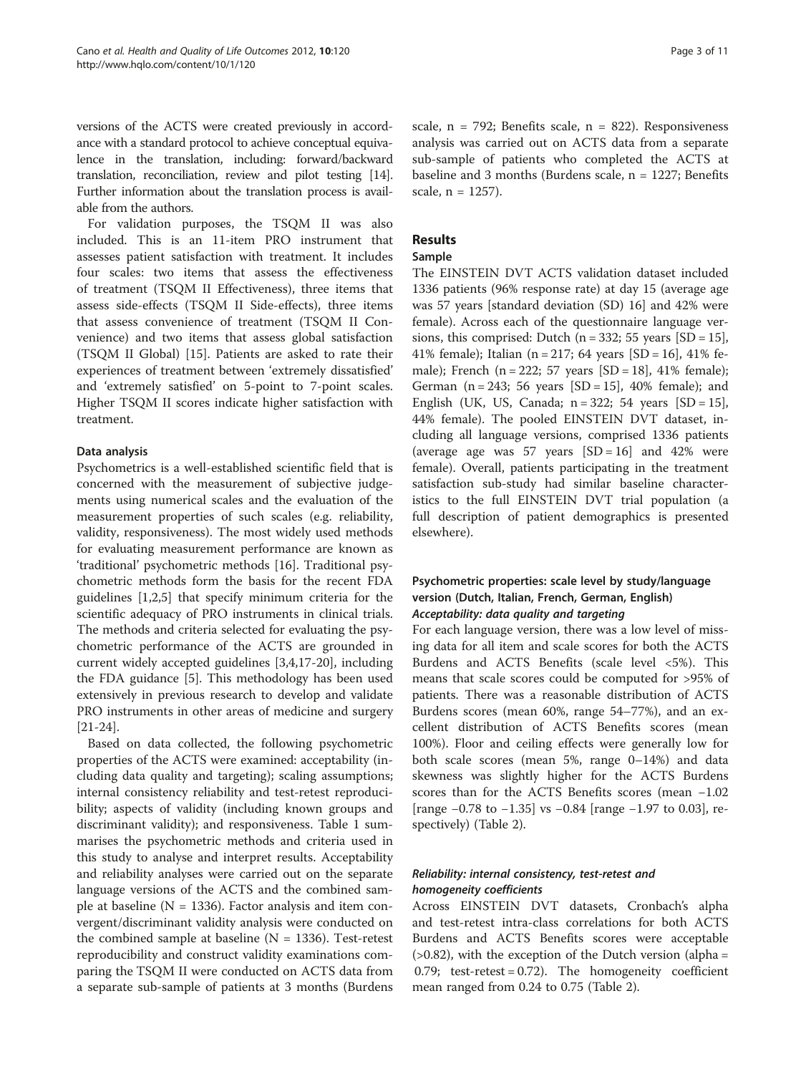versions of the ACTS were created previously in accordance with a standard protocol to achieve conceptual equivalence in the translation, including: forward/backward translation, reconciliation, review and pilot testing [\[14](#page-9-0)]. Further information about the translation process is available from the authors.

For validation purposes, the TSQM II was also included. This is an 11-item PRO instrument that assesses patient satisfaction with treatment. It includes four scales: two items that assess the effectiveness of treatment (TSQM II Effectiveness), three items that assess side-effects (TSQM II Side-effects), three items that assess convenience of treatment (TSQM II Convenience) and two items that assess global satisfaction (TSQM II Global) [\[15](#page-9-0)]. Patients are asked to rate their experiences of treatment between 'extremely dissatisfied' and 'extremely satisfied' on 5-point to 7-point scales. Higher TSQM II scores indicate higher satisfaction with treatment.

### Data analysis

Psychometrics is a well-established scientific field that is concerned with the measurement of subjective judgements using numerical scales and the evaluation of the measurement properties of such scales (e.g. reliability, validity, responsiveness). The most widely used methods for evaluating measurement performance are known as 'traditional' psychometric methods [\[16\]](#page-9-0). Traditional psychometric methods form the basis for the recent FDA guidelines [\[1,2,5](#page-9-0)] that specify minimum criteria for the scientific adequacy of PRO instruments in clinical trials. The methods and criteria selected for evaluating the psychometric performance of the ACTS are grounded in current widely accepted guidelines [\[3,4,17](#page-9-0)-[20\]](#page-10-0), including the FDA guidance [\[5](#page-9-0)]. This methodology has been used extensively in previous research to develop and validate PRO instruments in other areas of medicine and surgery [[21-24](#page-10-0)].

Based on data collected, the following psychometric properties of the ACTS were examined: acceptability (including data quality and targeting); scaling assumptions; internal consistency reliability and test-retest reproducibility; aspects of validity (including known groups and discriminant validity); and responsiveness. Table [1](#page-3-0) summarises the psychometric methods and criteria used in this study to analyse and interpret results. Acceptability and reliability analyses were carried out on the separate language versions of the ACTS and the combined sample at baseline ( $N = 1336$ ). Factor analysis and item convergent/discriminant validity analysis were conducted on the combined sample at baseline ( $N = 1336$ ). Test-retest reproducibility and construct validity examinations comparing the TSQM II were conducted on ACTS data from a separate sub-sample of patients at 3 months (Burdens

scale,  $n = 792$ ; Benefits scale,  $n = 822$ ). Responsiveness analysis was carried out on ACTS data from a separate sub-sample of patients who completed the ACTS at baseline and 3 months (Burdens scale, n = 1227; Benefits scale,  $n = 1257$ ).

# Results

#### Sample

The EINSTEIN DVT ACTS validation dataset included 1336 patients (96% response rate) at day 15 (average age was 57 years [standard deviation (SD) 16] and 42% were female). Across each of the questionnaire language versions, this comprised: Dutch ( $n = 332$ ; 55 years [SD = 15], 41% female); Italian (n = 217; 64 years [SD = 16], 41% female); French (n = 222; 57 years  $[SD = 18]$ , 41% female); German ( $n = 243$ ; 56 years [SD = 15], 40% female); and English (UK, US, Canada;  $n = 322$ ; 54 years  $[SD = 15]$ , 44% female). The pooled EINSTEIN DVT dataset, including all language versions, comprised 1336 patients (average age was 57 years  $[SD = 16]$  and 42% were female). Overall, patients participating in the treatment satisfaction sub-study had similar baseline characteristics to the full EINSTEIN DVT trial population (a full description of patient demographics is presented elsewhere).

# Psychometric properties: scale level by study/language version (Dutch, Italian, French, German, English) Acceptability: data quality and targeting

For each language version, there was a low level of missing data for all item and scale scores for both the ACTS Burdens and ACTS Benefits (scale level <5%). This means that scale scores could be computed for >95% of patients. There was a reasonable distribution of ACTS Burdens scores (mean 60%, range 54–77%), and an excellent distribution of ACTS Benefits scores (mean 100%). Floor and ceiling effects were generally low for both scale scores (mean 5%, range 0–14%) and data skewness was slightly higher for the ACTS Burdens scores than for the ACTS Benefits scores (mean −1.02 [range −0.78 to −1.35] vs −0.84 [range −1.97 to 0.03], respectively) (Table [2\)](#page-4-0).

# Reliability: internal consistency, test-retest and homogeneity coefficients

Across EINSTEIN DVT datasets, Cronbach's alpha and test-retest intra-class correlations for both ACTS Burdens and ACTS Benefits scores were acceptable  $(0.82)$ , with the exception of the Dutch version (alpha = 0.79; test-retest = 0.72). The homogeneity coefficient mean ranged from 0.24 to 0.75 (Table [2\)](#page-4-0).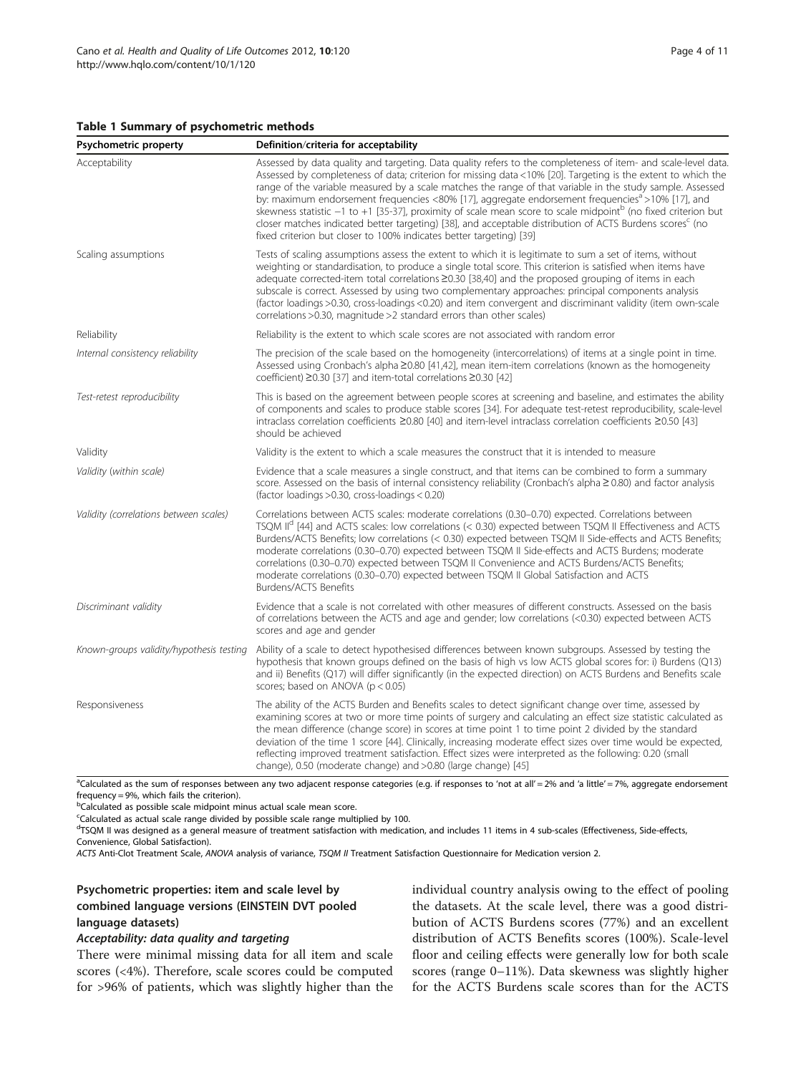#### <span id="page-3-0"></span>Table 1 Summary of psychometric methods

| Psychometric property                    | Definition/criteria for acceptability                                                                                                                                                                                                                                                                                                                                                                                                                                                                                                                                                                                                                                                                                                                                                    |
|------------------------------------------|------------------------------------------------------------------------------------------------------------------------------------------------------------------------------------------------------------------------------------------------------------------------------------------------------------------------------------------------------------------------------------------------------------------------------------------------------------------------------------------------------------------------------------------------------------------------------------------------------------------------------------------------------------------------------------------------------------------------------------------------------------------------------------------|
| Acceptability                            | Assessed by data quality and targeting. Data quality refers to the completeness of item- and scale-level data.<br>Assessed by completeness of data; criterion for missing data <10% [20]. Targeting is the extent to which the<br>range of the variable measured by a scale matches the range of that variable in the study sample. Assessed<br>by: maximum endorsement frequencies <80% [17], aggregate endorsement frequencies <sup>a</sup> >10% [17], and<br>skewness statistic -1 to +1 [35-37], proximity of scale mean score to scale midpoint <sup>b</sup> (no fixed criterion but<br>closer matches indicated better targeting) [38], and acceptable distribution of ACTS Burdens scores <sup>c</sup> (no<br>fixed criterion but closer to 100% indicates better targeting) [39] |
| Scaling assumptions                      | Tests of scaling assumptions assess the extent to which it is legitimate to sum a set of items, without<br>weighting or standardisation, to produce a single total score. This criterion is satisfied when items have<br>adequate corrected-item total correlations ≥0.30 [38,40] and the proposed grouping of items in each<br>subscale is correct. Assessed by using two complementary approaches: principal components analysis<br>(factor loadings >0.30, cross-loadings <0.20) and item convergent and discriminant validity (item own-scale<br>correlations > 0.30, magnitude > 2 standard errors than other scales)                                                                                                                                                               |
| Reliability                              | Reliability is the extent to which scale scores are not associated with random error                                                                                                                                                                                                                                                                                                                                                                                                                                                                                                                                                                                                                                                                                                     |
| Internal consistency reliability         | The precision of the scale based on the homogeneity (intercorrelations) of items at a single point in time.<br>Assessed using Cronbach's alpha $\geq$ 0.80 [41,42], mean item-item correlations (known as the homogeneity<br>coefficient) ≥0.30 [37] and item-total correlations ≥0.30 [42]                                                                                                                                                                                                                                                                                                                                                                                                                                                                                              |
| Test-retest reproducibility              | This is based on the agreement between people scores at screening and baseline, and estimates the ability<br>of components and scales to produce stable scores [34]. For adequate test-retest reproducibility, scale-level<br>intraclass correlation coefficients ≥0.80 [40] and item-level intraclass correlation coefficients ≥0.50 [43]<br>should be achieved                                                                                                                                                                                                                                                                                                                                                                                                                         |
| Validity                                 | Validity is the extent to which a scale measures the construct that it is intended to measure                                                                                                                                                                                                                                                                                                                                                                                                                                                                                                                                                                                                                                                                                            |
| Validity (within scale)                  | Evidence that a scale measures a single construct, and that items can be combined to form a summary<br>score. Assessed on the basis of internal consistency reliability (Cronbach's alpha $\geq$ 0.80) and factor analysis<br>(factor loadings > 0.30, cross-loadings < 0.20)                                                                                                                                                                                                                                                                                                                                                                                                                                                                                                            |
| Validity (correlations between scales)   | Correlations between ACTS scales: moderate correlations (0.30-0.70) expected. Correlations between<br>TSQM II <sup>d</sup> [44] and ACTS scales: low correlations (< 0.30) expected between TSQM II Effectiveness and ACTS<br>Burdens/ACTS Benefits; low correlations (< 0.30) expected between TSQM II Side-effects and ACTS Benefits;<br>moderate correlations (0.30-0.70) expected between TSQM II Side-effects and ACTS Burdens; moderate<br>correlations (0.30-0.70) expected between TSQM II Convenience and ACTS Burdens/ACTS Benefits;<br>moderate correlations (0.30–0.70) expected between TSQM II Global Satisfaction and ACTS<br>Burdens/ACTS Benefits                                                                                                                       |
| Discriminant validity                    | Evidence that a scale is not correlated with other measures of different constructs. Assessed on the basis<br>of correlations between the ACTS and age and gender; low correlations (<0.30) expected between ACTS<br>scores and age and gender                                                                                                                                                                                                                                                                                                                                                                                                                                                                                                                                           |
| Known-groups validity/hypothesis testing | Ability of a scale to detect hypothesised differences between known subgroups. Assessed by testing the<br>hypothesis that known groups defined on the basis of high vs low ACTS global scores for: i) Burdens (Q13)<br>and ii) Benefits (Q17) will differ significantly (in the expected direction) on ACTS Burdens and Benefits scale<br>scores; based on ANOVA ( $p < 0.05$ )                                                                                                                                                                                                                                                                                                                                                                                                          |
| Responsiveness                           | The ability of the ACTS Burden and Benefits scales to detect significant change over time, assessed by<br>examining scores at two or more time points of surgery and calculating an effect size statistic calculated as<br>the mean difference (change score) in scores at time point 1 to time point 2 divided by the standard<br>deviation of the time 1 score [44]. Clinically, increasing moderate effect sizes over time would be expected,<br>reflecting improved treatment satisfaction. Effect sizes were interpreted as the following: 0.20 (small<br>change), 0.50 (moderate change) and >0.80 (large change) [45]                                                                                                                                                             |

<sup>a</sup>Calculated as the sum of responses between any two adjacent response categories (e.g. if responses to 'not at all' = 2% and 'a little' = 7%, aggregate endorsement frequency =  $9\%$ , which fails the criterion).

<sup>b</sup>Calculated as possible scale midpoint minus actual scale mean score.

<sup>c</sup>Calculated as actual scale range divided by possible scale range multiplied by 100.

<sup>d</sup>TSQM II was designed as a general measure of treatment satisfaction with medication, and includes 11 items in 4 sub-scales (Effectiveness, Side-effects, Convenience, Global Satisfaction).

ACTS Anti-Clot Treatment Scale, ANOVA analysis of variance, TSQM II Treatment Satisfaction Questionnaire for Medication version 2.

# Psychometric properties: item and scale level by combined language versions (EINSTEIN DVT pooled language datasets)

# Acceptability: data quality and targeting

There were minimal missing data for all item and scale scores (<4%). Therefore, scale scores could be computed for >96% of patients, which was slightly higher than the individual country analysis owing to the effect of pooling the datasets. At the scale level, there was a good distribution of ACTS Burdens scores (77%) and an excellent distribution of ACTS Benefits scores (100%). Scale-level floor and ceiling effects were generally low for both scale scores (range 0–11%). Data skewness was slightly higher for the ACTS Burdens scale scores than for the ACTS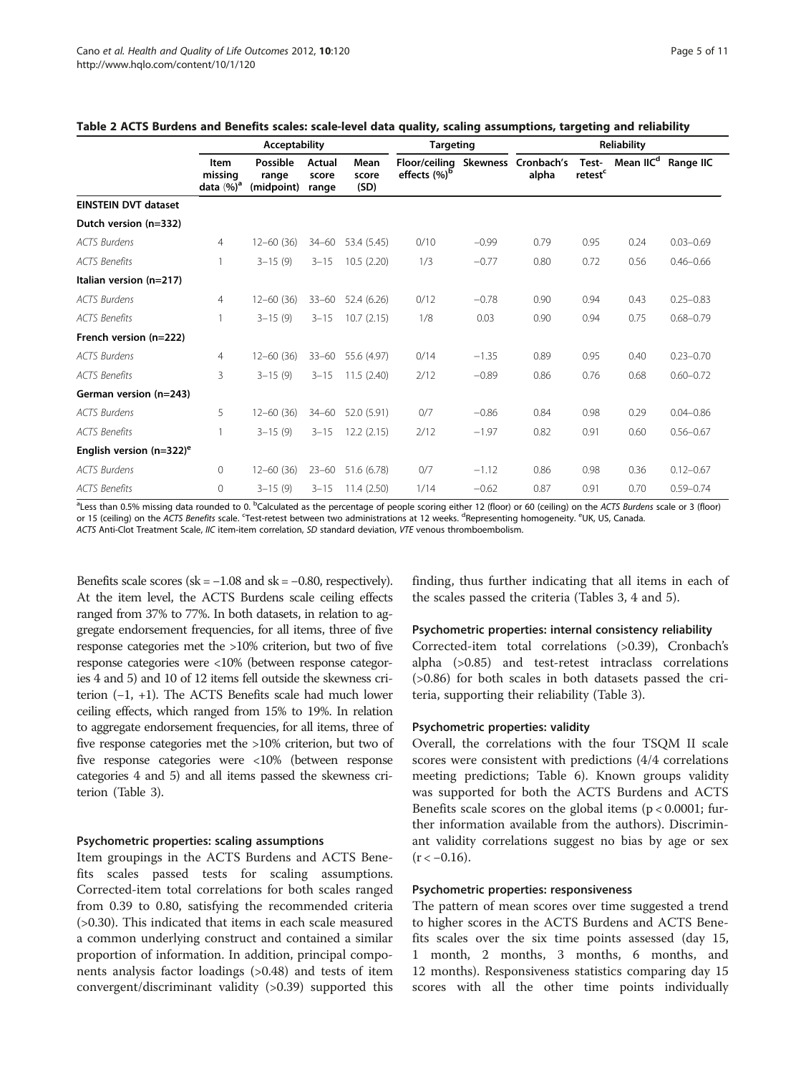|                             | <b>Acceptability</b>             |                                 |                          |                       | <b>Targeting</b>                                   |         | <b>Reliability</b>  |                              |                       |               |
|-----------------------------|----------------------------------|---------------------------------|--------------------------|-----------------------|----------------------------------------------------|---------|---------------------|------------------------------|-----------------------|---------------|
|                             | Item<br>missing<br>data $(\%)^a$ | Possible<br>range<br>(midpoint) | Actual<br>score<br>range | Mean<br>score<br>(SD) | Floor/ceiling Skewness<br>effects (%) <sup>b</sup> |         | Cronbach's<br>alpha | Test-<br>retest <sup>c</sup> | Mean IIC <sup>d</sup> | Range IIC     |
| <b>EINSTEIN DVT dataset</b> |                                  |                                 |                          |                       |                                                    |         |                     |                              |                       |               |
| Dutch version (n=332)       |                                  |                                 |                          |                       |                                                    |         |                     |                              |                       |               |
| <b>ACTS Burdens</b>         | 4                                | $12 - 60(36)$                   | $34 - 60$                | 53.4 (5.45)           | 0/10                                               | $-0.99$ | 0.79                | 0.95                         | 0.24                  | $0.03 - 0.69$ |
| <b>ACTS Benefits</b>        |                                  | $3 - 15(9)$                     | $3 - 15$                 | 10.5(2.20)            | 1/3                                                | $-0.77$ | 0.80                | 0.72                         | 0.56                  | $0.46 - 0.66$ |
| Italian version (n=217)     |                                  |                                 |                          |                       |                                                    |         |                     |                              |                       |               |
| <b>ACTS Burdens</b>         | $\overline{4}$                   | $12 - 60(36)$                   | $33 - 60$                | 52.4 (6.26)           | 0/12                                               | $-0.78$ | 0.90                | 0.94                         | 0.43                  | $0.25 - 0.83$ |
| <b>ACTS Benefits</b>        |                                  | $3 - 15(9)$                     | $3 - 15$                 | 10.7(2.15)            | 1/8                                                | 0.03    | 0.90                | 0.94                         | 0.75                  | $0.68 - 0.79$ |
| French version (n=222)      |                                  |                                 |                          |                       |                                                    |         |                     |                              |                       |               |
| <b>ACTS Burdens</b>         | 4                                | $12 - 60(36)$                   | $33 - 60$                | 55.6 (4.97)           | 0/14                                               | $-1.35$ | 0.89                | 0.95                         | 0.40                  | $0.23 - 0.70$ |
| <b>ACTS</b> Benefits        | 3                                | $3 - 15(9)$                     | $3 - 15$                 | 11.5(2.40)            | 2/12                                               | $-0.89$ | 0.86                | 0.76                         | 0.68                  | $0.60 - 0.72$ |
| German version (n=243)      |                                  |                                 |                          |                       |                                                    |         |                     |                              |                       |               |
| <b>ACTS Burdens</b>         | 5                                | $12 - 60(36)$                   | $34 - 60$                | 52.0 (5.91)           | 0/7                                                | $-0.86$ | 0.84                | 0.98                         | 0.29                  | $0.04 - 0.86$ |
| <b>ACTS</b> Benefits        |                                  | $3 - 15(9)$                     | $3 - 15$                 | 12.2(2.15)            | 2/12                                               | $-1.97$ | 0.82                | 0.91                         | 0.60                  | $0.56 - 0.67$ |
| English version $(n=322)^e$ |                                  |                                 |                          |                       |                                                    |         |                     |                              |                       |               |
| <b>ACTS Burdens</b>         | 0                                | $12 - 60(36)$                   | $23 - 60$                | 51.6 (6.78)           | 0/7                                                | $-1.12$ | 0.86                | 0.98                         | 0.36                  | $0.12 - 0.67$ |
| <b>ACTS Benefits</b>        | 0                                | $3 - 15(9)$                     | $3 - 15$                 | 11.4(2.50)            | 1/14                                               | $-0.62$ | 0.87                | 0.91                         | 0.70                  | $0.59 - 0.74$ |

<span id="page-4-0"></span>

| Table 2 ACTS Burdens and Benefits scales: scale-level data quality, scaling assumptions, targeting and reliability |  |  |  |  |
|--------------------------------------------------------------------------------------------------------------------|--|--|--|--|
|--------------------------------------------------------------------------------------------------------------------|--|--|--|--|

<sup>a</sup>Less than 0.5% missing data rounded to 0. <sup>b</sup>Calculated as the percentage of people scoring either 12 (floor) or 60 (ceiling) on the ACTS Burdens scale or 3 (floor) or 15 (ceiling) on the ACTS Benefits scale. <sup>c</sup>Test-retest between two administrations at 12 weeks. <sup>d</sup>Representing homogeneity. <sup>e</sup>UK, US, Canada. ACTS Anti-Clot Treatment Scale, IIC item-item correlation, SD standard deviation, VTE venous thromboembolism.

Benefits scale scores (sk =  $-1.08$  and sk =  $-0.80$ , respectively). At the item level, the ACTS Burdens scale ceiling effects ranged from 37% to 77%. In both datasets, in relation to aggregate endorsement frequencies, for all items, three of five response categories met the >10% criterion, but two of five response categories were <10% (between response categories 4 and 5) and 10 of 12 items fell outside the skewness criterion (−1, +1). The ACTS Benefits scale had much lower ceiling effects, which ranged from 15% to 19%. In relation to aggregate endorsement frequencies, for all items, three of five response categories met the >10% criterion, but two of five response categories were <10% (between response categories 4 and 5) and all items passed the skewness criterion (Table [3\)](#page-5-0).

#### Psychometric properties: scaling assumptions

Item groupings in the ACTS Burdens and ACTS Benefits scales passed tests for scaling assumptions. Corrected-item total correlations for both scales ranged from 0.39 to 0.80, satisfying the recommended criteria (>0.30). This indicated that items in each scale measured a common underlying construct and contained a similar proportion of information. In addition, principal components analysis factor loadings (>0.48) and tests of item convergent/discriminant validity (>0.39) supported this finding, thus further indicating that all items in each of the scales passed the criteria (Tables [3](#page-5-0), [4](#page-6-0) and [5](#page-6-0)).

#### Psychometric properties: internal consistency reliability

Corrected-item total correlations (>0.39), Cronbach's alpha (>0.85) and test-retest intraclass correlations (>0.86) for both scales in both datasets passed the criteria, supporting their reliability (Table [3](#page-5-0)).

#### Psychometric properties: validity

Overall, the correlations with the four TSQM II scale scores were consistent with predictions (4/4 correlations meeting predictions; Table [6](#page-7-0)). Known groups validity was supported for both the ACTS Burdens and ACTS Benefits scale scores on the global items ( $p < 0.0001$ ; further information available from the authors). Discriminant validity correlations suggest no bias by age or sex  $(r < -0.16)$ .

#### Psychometric properties: responsiveness

The pattern of mean scores over time suggested a trend to higher scores in the ACTS Burdens and ACTS Benefits scales over the six time points assessed (day 15, 1 month, 2 months, 3 months, 6 months, and 12 months). Responsiveness statistics comparing day 15 scores with all the other time points individually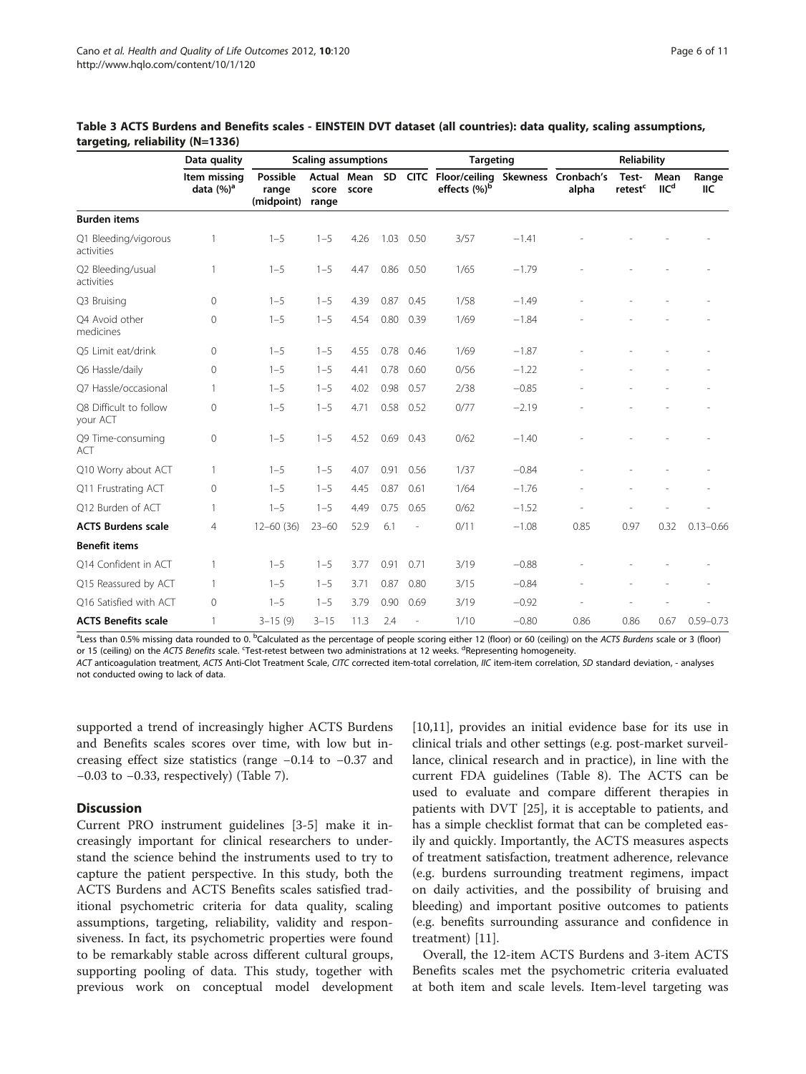|                                    | Data quality                          | <b>Scaling assumptions</b>      |                               |       | <b>Targeting</b> |      | Reliability                                                        |         |       |                            |                         |                     |
|------------------------------------|---------------------------------------|---------------------------------|-------------------------------|-------|------------------|------|--------------------------------------------------------------------|---------|-------|----------------------------|-------------------------|---------------------|
|                                    | Item missing<br>data (%) <sup>a</sup> | Possible<br>range<br>(midpoint) | Actual Mean<br>score<br>range | score | <b>SD</b>        |      | CITC Floor/ceiling Skewness Cronbach's<br>effects (%) <sup>b</sup> |         | alpha | Test-<br>retest $^{\rm c}$ | Mean<br>IC <sup>d</sup> | Range<br><b>IIC</b> |
| <b>Burden items</b>                |                                       |                                 |                               |       |                  |      |                                                                    |         |       |                            |                         |                     |
| Q1 Bleeding/vigorous<br>activities | -1                                    | $1 - 5$                         | $1 - 5$                       | 4.26  | 1.03             | 0.50 | 3/57                                                               | $-1.41$ |       |                            |                         |                     |
| Q2 Bleeding/usual<br>activities    | $\mathbf{1}$                          | $1 - 5$                         | $1 - 5$                       | 4.47  | 0.86             | 0.50 | 1/65                                                               | $-1.79$ |       |                            |                         |                     |
| Q3 Bruising                        | $\Omega$                              | $1 - 5$                         | $1 - 5$                       | 4.39  | 0.87             | 0.45 | 1/58                                                               | $-1.49$ |       |                            |                         |                     |
| Q4 Avoid other<br>medicines        | $\circ$                               | $1 - 5$                         | $1 - 5$                       | 4.54  | 0.80             | 0.39 | 1/69                                                               | $-1.84$ |       |                            |                         |                     |
| Q5 Limit eat/drink                 | $\circ$                               | $1 - 5$                         | $1 - 5$                       | 4.55  | 0.78             | 0.46 | 1/69                                                               | $-1.87$ |       |                            |                         |                     |
| Q6 Hassle/daily                    | $\mathbf{0}$                          | $1 - 5$                         | $1 - 5$                       | 4.41  | 0.78             | 0.60 | 0/56                                                               | $-1.22$ |       |                            |                         |                     |
| O7 Hassle/occasional               | $\mathbf{1}$                          | $1 - 5$                         | $1 - 5$                       | 4.02  | 0.98             | 0.57 | 2/38                                                               | $-0.85$ |       |                            |                         |                     |
| Q8 Difficult to follow<br>your ACT | $\mathbf{0}$                          | $1 - 5$                         | $1 - 5$                       | 4.71  | 0.58             | 0.52 | 0/77                                                               | $-2.19$ |       |                            |                         |                     |
| Q9 Time-consuming<br>ACT           | 0                                     | $1 - 5$                         | $1 - 5$                       | 4.52  | 0.69             | 0.43 | 0/62                                                               | $-1.40$ |       |                            |                         |                     |
| Q10 Worry about ACT                | $\mathbf{1}$                          | $1 - 5$                         | $1 - 5$                       | 4.07  | 0.91             | 0.56 | 1/37                                                               | $-0.84$ |       |                            |                         |                     |
| Q11 Frustrating ACT                | $\mathbf{0}$                          | $1 - 5$                         | $1 - 5$                       | 4.45  | 0.87             | 0.61 | 1/64                                                               | $-1.76$ |       |                            |                         |                     |
| O12 Burden of ACT                  | 1                                     | $1 - 5$                         | $1 - 5$                       | 4.49  | 0.75             | 0.65 | 0/62                                                               | $-1.52$ |       |                            |                         |                     |
| <b>ACTS Burdens scale</b>          | 4                                     | $12 - 60(36)$                   | $23 - 60$                     | 52.9  | 6.1              | L,   | 0/11                                                               | $-1.08$ | 0.85  | 0.97                       | 0.32                    | $0.13 - 0.66$       |
| <b>Benefit items</b>               |                                       |                                 |                               |       |                  |      |                                                                    |         |       |                            |                         |                     |
| O14 Confident in ACT               | $\mathbf{1}$                          | $1 - 5$                         | $1 - 5$                       | 3.77  | 0.91             | 0.71 | 3/19                                                               | $-0.88$ |       |                            |                         |                     |
| Q15 Reassured by ACT               | $\mathbf{1}$                          | $1 - 5$                         | $1 - 5$                       | 3.71  | 0.87             | 0.80 | 3/15                                                               | $-0.84$ |       |                            |                         |                     |
| Q16 Satisfied with ACT             | $\mathbf{0}$                          | $1 - 5$                         | $1 - 5$                       | 3.79  | 0.90             | 0.69 | 3/19                                                               | $-0.92$ |       |                            |                         |                     |
| <b>ACTS Benefits scale</b>         |                                       | $3 - 15(9)$                     | $3 - 15$                      | 11.3  | 2.4              |      | 1/10                                                               | $-0.80$ | 0.86  | 0.86                       | 0.67                    | $0.59 - 0.73$       |

<span id="page-5-0"></span>Table 3 ACTS Burdens and Benefits scales - EINSTEIN DVT dataset (all countries): data quality, scaling assumptions, targeting, reliability (N=1336)

<sup>a</sup>Less than 0.5% missing data rounded to 0. <sup>b</sup>Calculated as the percentage of people scoring either 12 (floor) or 60 (ceiling) on the ACTS Burdens scale or 3 (floor) or 15 (ceiling) on the ACTS Benefits scale. <sup>c</sup>Test-retest between two administrations at 12 weeks. <sup>d</sup>Representing homogeneity.

ACT anticoagulation treatment, ACTS Anti-Clot Treatment Scale, CITC corrected item-total correlation, IIC item-item correlation, SD standard deviation, - analyses not conducted owing to lack of data.

supported a trend of increasingly higher ACTS Burdens and Benefits scales scores over time, with low but increasing effect size statistics (range −0.14 to −0.37 and −0.03 to −0.33, respectively) (Table [7](#page-7-0)).

# **Discussion**

Current PRO instrument guidelines [[3-5](#page-9-0)] make it increasingly important for clinical researchers to understand the science behind the instruments used to try to capture the patient perspective. In this study, both the ACTS Burdens and ACTS Benefits scales satisfied traditional psychometric criteria for data quality, scaling assumptions, targeting, reliability, validity and responsiveness. In fact, its psychometric properties were found to be remarkably stable across different cultural groups, supporting pooling of data. This study, together with previous work on conceptual model development

[[10,11\]](#page-9-0), provides an initial evidence base for its use in clinical trials and other settings (e.g. post-market surveillance, clinical research and in practice), in line with the current FDA guidelines (Table [8\)](#page-8-0). The ACTS can be used to evaluate and compare different therapies in patients with DVT [[25](#page-10-0)], it is acceptable to patients, and has a simple checklist format that can be completed easily and quickly. Importantly, the ACTS measures aspects of treatment satisfaction, treatment adherence, relevance (e.g. burdens surrounding treatment regimens, impact on daily activities, and the possibility of bruising and bleeding) and important positive outcomes to patients (e.g. benefits surrounding assurance and confidence in treatment) [[11\]](#page-9-0).

Overall, the 12-item ACTS Burdens and 3-item ACTS Benefits scales met the psychometric criteria evaluated at both item and scale levels. Item-level targeting was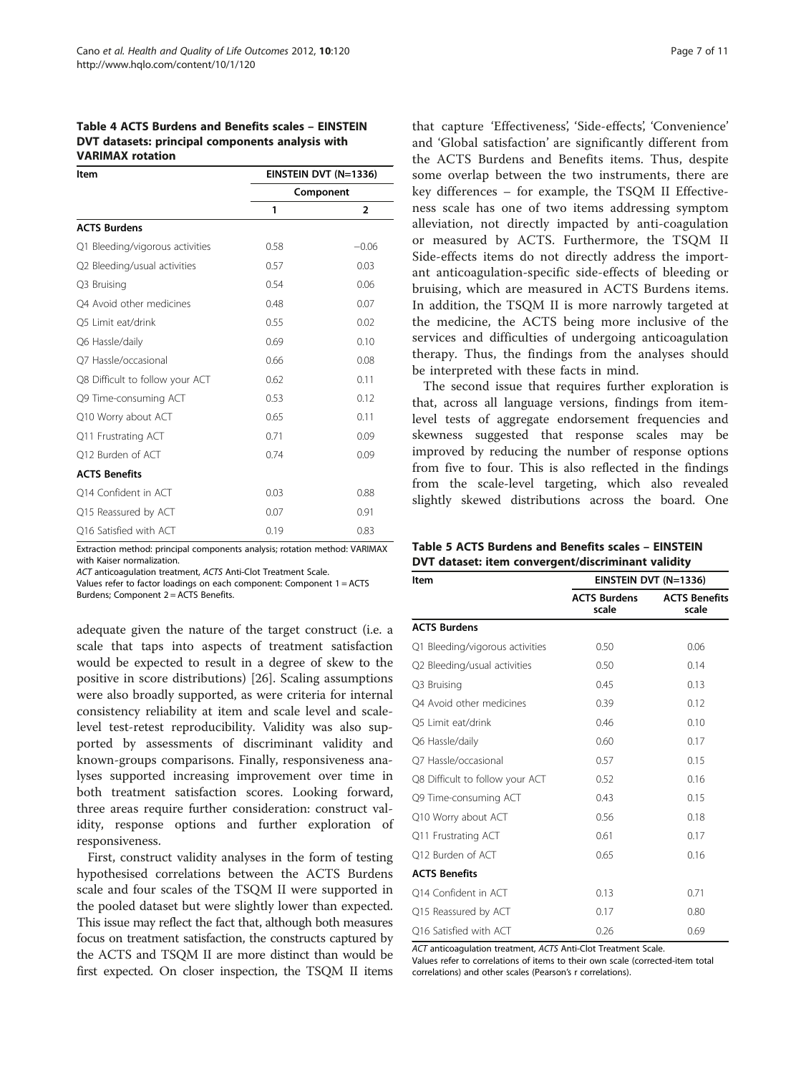<span id="page-6-0"></span>Table 4 ACTS Burdens and Benefits scales – EINSTEIN DVT datasets: principal components analysis with VARIMAX rotation

| Item<br>Q2 Bleeding/usual activities<br>04 Avoid other medicines<br>O7 Hassle/occasional<br>Q8 Difficult to follow your ACT<br>Q9 Time-consuming ACT | EINSTEIN DVT (N=1336) |                |  |  |  |
|------------------------------------------------------------------------------------------------------------------------------------------------------|-----------------------|----------------|--|--|--|
|                                                                                                                                                      |                       | Component      |  |  |  |
|                                                                                                                                                      | 1                     | $\overline{2}$ |  |  |  |
| <b>ACTS Burdens</b>                                                                                                                                  |                       |                |  |  |  |
| Q1 Bleeding/vigorous activities                                                                                                                      | 0.58                  | $-0.06$        |  |  |  |
|                                                                                                                                                      | 0.57                  | 0.03           |  |  |  |
| Q3 Bruising                                                                                                                                          | 0.54                  | 0.06           |  |  |  |
|                                                                                                                                                      | 0.48                  | 0.07           |  |  |  |
| O5 Limit eat/drink                                                                                                                                   | 0.55                  | 0.02           |  |  |  |
| Q6 Hassle/daily                                                                                                                                      | 0.69                  | 0.10           |  |  |  |
|                                                                                                                                                      | 0.66                  | 0.08           |  |  |  |
|                                                                                                                                                      | 0.62                  | 0.11           |  |  |  |
|                                                                                                                                                      | 0.53                  | 0.12           |  |  |  |
| Q10 Worry about ACT                                                                                                                                  | 0.65                  | 0.11           |  |  |  |
| Q11 Frustrating ACT                                                                                                                                  | 0.71                  | 0.09           |  |  |  |
| O12 Burden of ACT                                                                                                                                    | 0.74                  | 0.09           |  |  |  |
| <b>ACTS Benefits</b>                                                                                                                                 |                       |                |  |  |  |
| Q14 Confident in ACT                                                                                                                                 | 0.03                  | 0.88           |  |  |  |
| Q15 Reassured by ACT                                                                                                                                 | 0.07                  | 0.91           |  |  |  |
| O16 Satisfied with ACT                                                                                                                               | 0.19                  | 0.83           |  |  |  |

Extraction method: principal components analysis; rotation method: VARIMAX with Kaiser normalization.

ACT anticoagulation treatment, ACTS Anti-Clot Treatment Scale.

Values refer to factor loadings on each component: Component 1 = ACTS Burdens; Component 2 = ACTS Benefits.

adequate given the nature of the target construct (i.e. a scale that taps into aspects of treatment satisfaction would be expected to result in a degree of skew to the positive in score distributions) [[26](#page-10-0)]. Scaling assumptions were also broadly supported, as were criteria for internal consistency reliability at item and scale level and scalelevel test-retest reproducibility. Validity was also supported by assessments of discriminant validity and known-groups comparisons. Finally, responsiveness analyses supported increasing improvement over time in both treatment satisfaction scores. Looking forward, three areas require further consideration: construct validity, response options and further exploration of responsiveness.

First, construct validity analyses in the form of testing hypothesised correlations between the ACTS Burdens scale and four scales of the TSQM II were supported in the pooled dataset but were slightly lower than expected. This issue may reflect the fact that, although both measures focus on treatment satisfaction, the constructs captured by the ACTS and TSQM II are more distinct than would be first expected. On closer inspection, the TSQM II items

that capture 'Effectiveness', 'Side-effects', 'Convenience' and 'Global satisfaction' are significantly different from the ACTS Burdens and Benefits items. Thus, despite some overlap between the two instruments, there are key differences – for example, the TSQM II Effectiveness scale has one of two items addressing symptom alleviation, not directly impacted by anti-coagulation or measured by ACTS. Furthermore, the TSQM II Side-effects items do not directly address the important anticoagulation-specific side-effects of bleeding or bruising, which are measured in ACTS Burdens items. In addition, the TSQM II is more narrowly targeted at the medicine, the ACTS being more inclusive of the services and difficulties of undergoing anticoagulation therapy. Thus, the findings from the analyses should be interpreted with these facts in mind.

The second issue that requires further exploration is that, across all language versions, findings from itemlevel tests of aggregate endorsement frequencies and skewness suggested that response scales may be improved by reducing the number of response options from five to four. This is also reflected in the findings from the scale-level targeting, which also revealed slightly skewed distributions across the board. One

|                                                    |  |  | Table 5 ACTS Burdens and Benefits scales - EINSTEIN |
|----------------------------------------------------|--|--|-----------------------------------------------------|
| DVT dataset: item convergent/discriminant validity |  |  |                                                     |

| Item                            |                              | EINSTEIN DVT (N=1336)         |
|---------------------------------|------------------------------|-------------------------------|
|                                 | <b>ACTS Burdens</b><br>scale | <b>ACTS Benefits</b><br>scale |
| <b>ACTS Burdens</b>             |                              |                               |
| Q1 Bleeding/vigorous activities | 0.50                         | 0.06                          |
| Q2 Bleeding/usual activities    | 0.50                         | 0.14                          |
| Q3 Bruising                     | 0.45                         | 0.13                          |
| O4 Avoid other medicines        | 0.39                         | 0.12                          |
| Q5 Limit eat/drink              | 0.46                         | 0.10                          |
| Q6 Hassle/daily                 | 0.60                         | 0.17                          |
| O7 Hassle/occasional            | 0.57                         | 0.15                          |
| Q8 Difficult to follow your ACT | 0.52                         | 0.16                          |
| Q9 Time-consuming ACT           | 0.43                         | 0.15                          |
| Q10 Worry about ACT             | 0.56                         | 0.18                          |
| Q11 Frustrating ACT             | 0.61                         | 0.17                          |
| O12 Burden of ACT               | 0.65                         | 0.16                          |
| <b>ACTS Benefits</b>            |                              |                               |
| 014 Confident in ACT            | 0.13                         | 0.71                          |
| Q15 Reassured by ACT            | 0.17                         | 0.80                          |
| O16 Satisfied with ACT          | 0.26                         | 0.69                          |

ACT anticoagulation treatment, ACTS Anti-Clot Treatment Scale. Values refer to correlations of items to their own scale (corrected-item total

correlations) and other scales (Pearson's r correlations).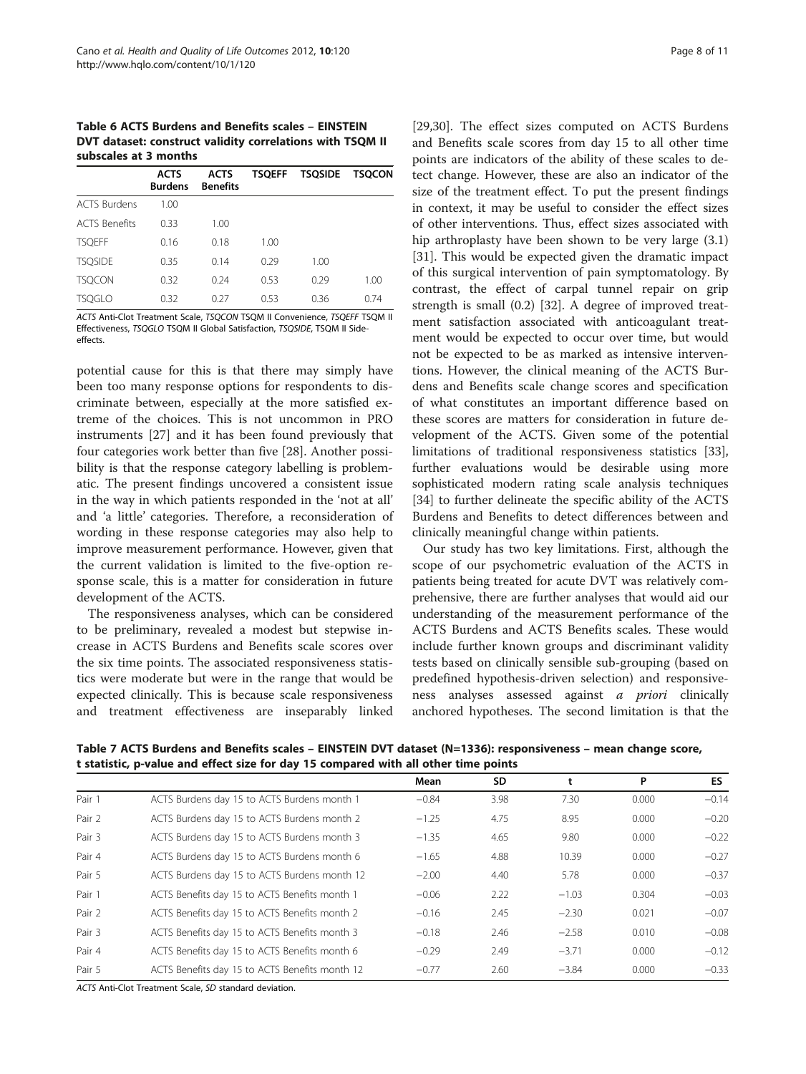<span id="page-7-0"></span>Table 6 ACTS Burdens and Benefits scales – EINSTEIN DVT dataset: construct validity correlations with TSQM II subscales at 3 months

|                      | <b>ACTS</b><br><b>Burdens</b> | <b>ACTS</b><br><b>Benefits</b> | <b>TSOEFF</b> | <b>TSQSIDE</b> | <b>TSOCON</b> |
|----------------------|-------------------------------|--------------------------------|---------------|----------------|---------------|
| <b>ACTS Burdens</b>  | 1.00                          |                                |               |                |               |
| <b>ACTS Benefits</b> | 0.33                          | 1.00                           |               |                |               |
| <b>TSQEFF</b>        | 0.16                          | 0.18                           | 1.00          |                |               |
| <b>TSOSIDE</b>       | 0.35                          | 0.14                           | 0.29          | 1.00           |               |
| <b>TSQCON</b>        | 0.32                          | 0.24                           | 0.53          | 0.29           | 1.00          |
| <b>TSQGLO</b>        | 0.32                          | 0.27                           | 0.53          | 0.36           | 0.74          |

ACTS Anti-Clot Treatment Scale, TSQCON TSQM II Convenience, TSQEFF TSQM II Effectiveness, TSQGLO TSQM II Global Satisfaction, TSQSIDE, TSQM II Sideeffects.

potential cause for this is that there may simply have been too many response options for respondents to discriminate between, especially at the more satisfied extreme of the choices. This is not uncommon in PRO instruments [\[27\]](#page-10-0) and it has been found previously that four categories work better than five [[28](#page-10-0)]. Another possibility is that the response category labelling is problematic. The present findings uncovered a consistent issue in the way in which patients responded in the 'not at all' and 'a little' categories. Therefore, a reconsideration of wording in these response categories may also help to improve measurement performance. However, given that the current validation is limited to the five-option response scale, this is a matter for consideration in future development of the ACTS.

The responsiveness analyses, which can be considered to be preliminary, revealed a modest but stepwise increase in ACTS Burdens and Benefits scale scores over the six time points. The associated responsiveness statistics were moderate but were in the range that would be expected clinically. This is because scale responsiveness and treatment effectiveness are inseparably linked [[29,30\]](#page-10-0). The effect sizes computed on ACTS Burdens and Benefits scale scores from day 15 to all other time points are indicators of the ability of these scales to detect change. However, these are also an indicator of the size of the treatment effect. To put the present findings in context, it may be useful to consider the effect sizes of other interventions. Thus, effect sizes associated with hip arthroplasty have been shown to be very large (3.1) [[31\]](#page-10-0). This would be expected given the dramatic impact of this surgical intervention of pain symptomatology. By contrast, the effect of carpal tunnel repair on grip strength is small (0.2) [\[32](#page-10-0)]. A degree of improved treatment satisfaction associated with anticoagulant treatment would be expected to occur over time, but would not be expected to be as marked as intensive interventions. However, the clinical meaning of the ACTS Burdens and Benefits scale change scores and specification of what constitutes an important difference based on these scores are matters for consideration in future development of the ACTS. Given some of the potential limitations of traditional responsiveness statistics [\[33](#page-10-0)], further evaluations would be desirable using more sophisticated modern rating scale analysis techniques [[34\]](#page-10-0) to further delineate the specific ability of the ACTS Burdens and Benefits to detect differences between and clinically meaningful change within patients.

Our study has two key limitations. First, although the scope of our psychometric evaluation of the ACTS in patients being treated for acute DVT was relatively comprehensive, there are further analyses that would aid our understanding of the measurement performance of the ACTS Burdens and ACTS Benefits scales. These would include further known groups and discriminant validity tests based on clinically sensible sub-grouping (based on predefined hypothesis-driven selection) and responsiveness analyses assessed against a priori clinically anchored hypotheses. The second limitation is that the

Table 7 ACTS Burdens and Benefits scales – EINSTEIN DVT dataset (N=1336): responsiveness – mean change score, t statistic, p-value and effect size for day 15 compared with all other time points

|        |                                                | Mean    | SD.  |         | P     | <b>ES</b> |
|--------|------------------------------------------------|---------|------|---------|-------|-----------|
| Pair 1 | ACTS Burdens day 15 to ACTS Burdens month 1    | $-0.84$ | 3.98 | 7.30    | 0.000 | $-0.14$   |
| Pair 2 | ACTS Burdens day 15 to ACTS Burdens month 2    | $-1.25$ | 4.75 | 8.95    | 0.000 | $-0.20$   |
| Pair 3 | ACTS Burdens day 15 to ACTS Burdens month 3    | $-1.35$ | 4.65 | 9.80    | 0.000 | $-0.22$   |
| Pair 4 | ACTS Burdens day 15 to ACTS Burdens month 6    | $-1.65$ | 4.88 | 10.39   | 0.000 | $-0.27$   |
| Pair 5 | ACTS Burdens day 15 to ACTS Burdens month 12   | $-2.00$ | 4.40 | 5.78    | 0.000 | $-0.37$   |
| Pair 1 | ACTS Benefits day 15 to ACTS Benefits month 1  | $-0.06$ | 2.22 | $-1.03$ | 0.304 | $-0.03$   |
| Pair 2 | ACTS Benefits day 15 to ACTS Benefits month 2  | $-0.16$ | 2.45 | $-2.30$ | 0.021 | $-0.07$   |
| Pair 3 | ACTS Benefits day 15 to ACTS Benefits month 3  | $-0.18$ | 2.46 | $-2.58$ | 0.010 | $-0.08$   |
| Pair 4 | ACTS Benefits day 15 to ACTS Benefits month 6  | $-0.29$ | 2.49 | $-3.71$ | 0.000 | $-0.12$   |
| Pair 5 | ACTS Benefits day 15 to ACTS Benefits month 12 | $-0.77$ | 2.60 | $-3.84$ | 0.000 | $-0.33$   |

ACTS Anti-Clot Treatment Scale, SD standard deviation.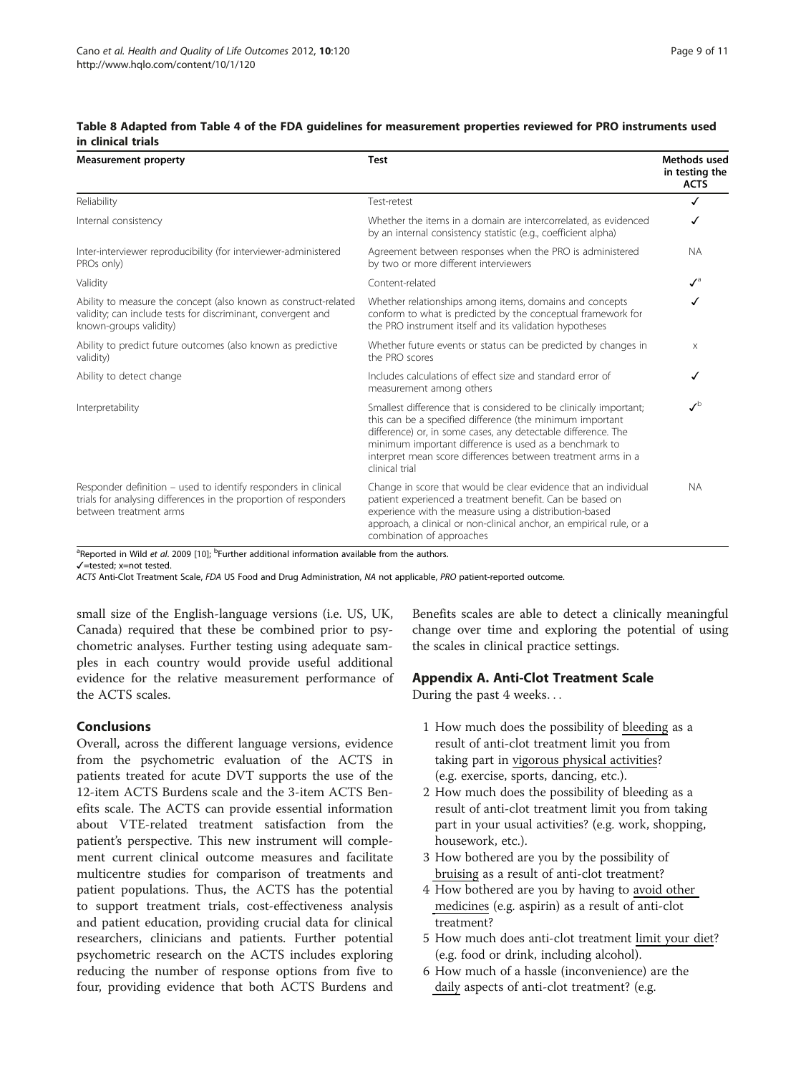## <span id="page-8-0"></span>Table 8 Adapted from Table 4 of the FDA guidelines for measurement properties reviewed for PRO instruments used in clinical trials

| <b>Measurement property</b>                                                                                                                                  | <b>Test</b>                                                                                                                                                                                                                                                                                                                                  | Methods used<br>in testing the<br><b>ACTS</b> |
|--------------------------------------------------------------------------------------------------------------------------------------------------------------|----------------------------------------------------------------------------------------------------------------------------------------------------------------------------------------------------------------------------------------------------------------------------------------------------------------------------------------------|-----------------------------------------------|
| Reliability                                                                                                                                                  | Test-retest                                                                                                                                                                                                                                                                                                                                  |                                               |
| Internal consistency                                                                                                                                         | Whether the items in a domain are intercorrelated, as evidenced<br>by an internal consistency statistic (e.g., coefficient alpha)                                                                                                                                                                                                            |                                               |
| Inter-interviewer reproducibility (for interviewer-administered<br>PROs only)                                                                                | Agreement between responses when the PRO is administered<br>by two or more different interviewers                                                                                                                                                                                                                                            | <b>NA</b>                                     |
| Validity                                                                                                                                                     | Content-related                                                                                                                                                                                                                                                                                                                              | $\boldsymbol{\mathcal{J}}^{\text{a}}$         |
| Ability to measure the concept (also known as construct-related<br>validity; can include tests for discriminant, convergent and<br>known-groups validity)    | Whether relationships among items, domains and concepts<br>conform to what is predicted by the conceptual framework for<br>the PRO instrument itself and its validation hypotheses                                                                                                                                                           |                                               |
| Ability to predict future outcomes (also known as predictive<br>validity)                                                                                    | Whether future events or status can be predicted by changes in<br>the PRO scores                                                                                                                                                                                                                                                             | X                                             |
| Ability to detect change                                                                                                                                     | Includes calculations of effect size and standard error of<br>measurement among others                                                                                                                                                                                                                                                       |                                               |
| Interpretability                                                                                                                                             | Smallest difference that is considered to be clinically important;<br>this can be a specified difference (the minimum important<br>difference) or, in some cases, any detectable difference. The<br>minimum important difference is used as a benchmark to<br>interpret mean score differences between treatment arms in a<br>clinical trial |                                               |
| Responder definition - used to identify responders in clinical<br>trials for analysing differences in the proportion of responders<br>between treatment arms | Change in score that would be clear evidence that an individual<br>patient experienced a treatment benefit. Can be based on<br>experience with the measure using a distribution-based<br>approach, a clinical or non-clinical anchor, an empirical rule, or a<br>combination of approaches                                                   | <b>NA</b>                                     |

<sup>a</sup>Reported in Wild *et al*. 2009 [\[10\]](#page-9-0); <sup>b</sup>Further additional information available from the authors.

✓=tested; x=not tested.

ACTS Anti-Clot Treatment Scale, FDA US Food and Drug Administration, NA not applicable, PRO patient-reported outcome.

small size of the English-language versions (i.e. US, UK, Canada) required that these be combined prior to psychometric analyses. Further testing using adequate samples in each country would provide useful additional evidence for the relative measurement performance of the ACTS scales.

# Conclusions

Overall, across the different language versions, evidence from the psychometric evaluation of the ACTS in patients treated for acute DVT supports the use of the 12-item ACTS Burdens scale and the 3-item ACTS Benefits scale. The ACTS can provide essential information about VTE-related treatment satisfaction from the patient's perspective. This new instrument will complement current clinical outcome measures and facilitate multicentre studies for comparison of treatments and patient populations. Thus, the ACTS has the potential to support treatment trials, cost-effectiveness analysis and patient education, providing crucial data for clinical researchers, clinicians and patients. Further potential psychometric research on the ACTS includes exploring reducing the number of response options from five to four, providing evidence that both ACTS Burdens and

Benefits scales are able to detect a clinically meaningful change over time and exploring the potential of using the scales in clinical practice settings.

# Appendix A. Anti-Clot Treatment Scale

During the past 4 weeks...

- 1 How much does the possibility of bleeding as a result of anti-clot treatment limit you from taking part in vigorous physical activities? (e.g. exercise, sports, dancing, etc.).
- 2 How much does the possibility of bleeding as a result of anti-clot treatment limit you from taking part in your usual activities? (e.g. work, shopping, housework, etc.).
- 3 How bothered are you by the possibility of bruising as a result of anti-clot treatment?
- 4 How bothered are you by having to avoid other medicines (e.g. aspirin) as a result of anti-clot treatment?
- 5 How much does anti-clot treatment limit your diet? (e.g. food or drink, including alcohol).
- 6 How much of a hassle (inconvenience) are the daily aspects of anti-clot treatment? (e.g.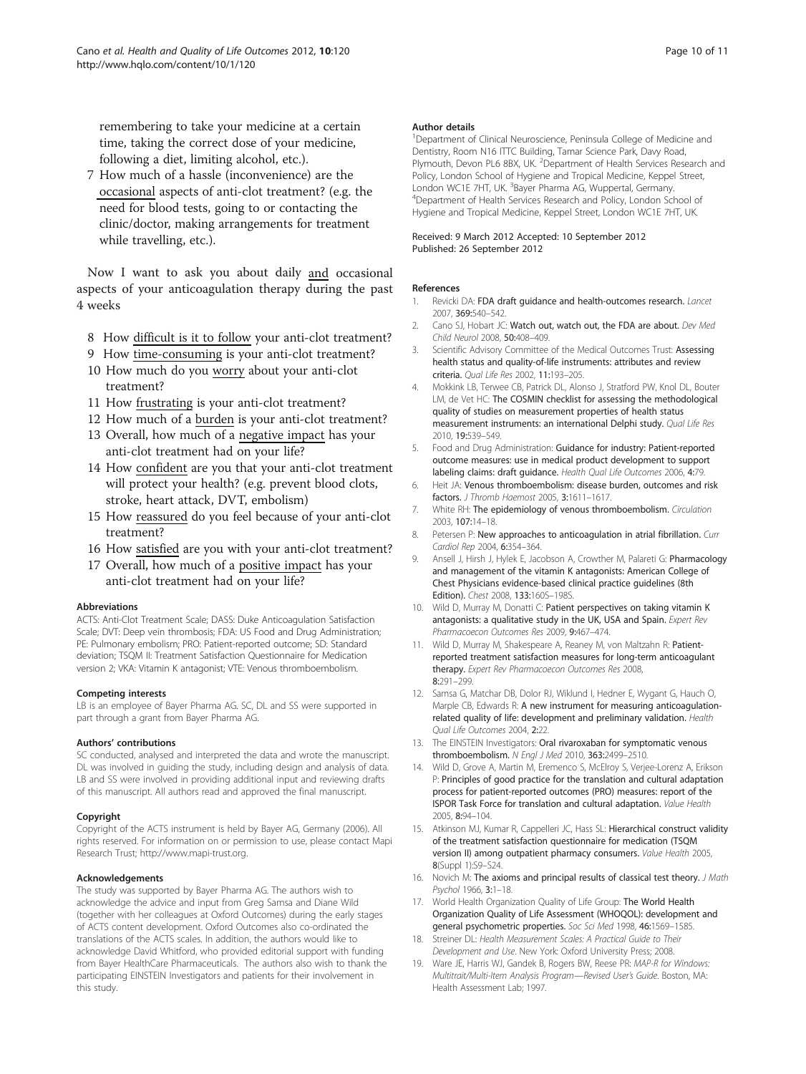<span id="page-9-0"></span>remembering to take your medicine at a certain time, taking the correct dose of your medicine, following a diet, limiting alcohol, etc.).

7 How much of a hassle (inconvenience) are the occasional aspects of anti-clot treatment? (e.g. the need for blood tests, going to or contacting the clinic/doctor, making arrangements for treatment while travelling, etc.).

Now I want to ask you about daily and occasional aspects of your anticoagulation therapy during the past 4 weeks

- 8 How difficult is it to follow your anti-clot treatment?
- 9 How time-consuming is your anti-clot treatment?
- 10 How much do you worry about your anti-clot treatment?
- 11 How frustrating is your anti-clot treatment?
- 12 How much of a burden is your anti-clot treatment?
- 13 Overall, how much of a negative impact has your anti-clot treatment had on your life?
- 14 How confident are you that your anti-clot treatment will protect your health? (e.g. prevent blood clots, stroke, heart attack, DVT, embolism)
- 15 How reassured do you feel because of your anti-clot treatment?
- 16 How satisfied are you with your anti-clot treatment?
- 17 Overall, how much of a positive impact has your anti-clot treatment had on your life?

#### **Abbreviations**

ACTS: Anti-Clot Treatment Scale; DASS: Duke Anticoagulation Satisfaction Scale; DVT: Deep vein thrombosis; FDA: US Food and Drug Administration; PE: Pulmonary embolism; PRO: Patient-reported outcome; SD: Standard deviation; TSQM II: Treatment Satisfaction Questionnaire for Medication version 2; VKA: Vitamin K antagonist; VTE: Venous thromboembolism.

#### Competing interests

LB is an employee of Bayer Pharma AG. SC, DL and SS were supported in part through a grant from Bayer Pharma AG.

#### Authors' contributions

SC conducted, analysed and interpreted the data and wrote the manuscript. DL was involved in guiding the study, including design and analysis of data. LB and SS were involved in providing additional input and reviewing drafts of this manuscript. All authors read and approved the final manuscript.

#### Copyright

Copyright of the ACTS instrument is held by Bayer AG, Germany (2006). All rights reserved. For information on or permission to use, please contact Mapi Research Trust; http://www.mapi-trust.org.

#### Acknowledgements

The study was supported by Bayer Pharma AG. The authors wish to acknowledge the advice and input from Greg Samsa and Diane Wild (together with her colleagues at Oxford Outcomes) during the early stages of ACTS content development. Oxford Outcomes also co-ordinated the translations of the ACTS scales. In addition, the authors would like to acknowledge David Whitford, who provided editorial support with funding from Bayer HealthCare Pharmaceuticals. The authors also wish to thank the participating EINSTEIN Investigators and patients for their involvement in this study.

#### Author details

<sup>1</sup>Department of Clinical Neuroscience, Peninsula College of Medicine and Dentistry, Room N16 ITTC Building, Tamar Science Park, Davy Road, Plymouth, Devon PL6 8BX, UK. <sup>2</sup>Department of Health Services Research and Policy, London School of Hygiene and Tropical Medicine, Keppel Street, London WC1E 7HT, UK. <sup>3</sup>Bayer Pharma AG, Wuppertal, Germany.<br><sup>4</sup>Department of Health Sen*ices Besearch and Policy London Sc*. <sup>4</sup>Department of Health Services Research and Policy, London School of Hygiene and Tropical Medicine, Keppel Street, London WC1E 7HT, UK.

#### Received: 9 March 2012 Accepted: 10 September 2012 Published: 26 September 2012

#### References

- 1. Revicki DA: FDA draft quidance and health-outcomes research. Lancet 2007, 369:540–542.
- 2. Cano SJ, Hobart JC: Watch out, watch out, the FDA are about. Dev Med Child Neurol 2008, 50:408–409.
- 3. Scientific Advisory Committee of the Medical Outcomes Trust: Assessing health status and quality-of-life instruments: attributes and review criteria. Qual Life Res 2002, 11:193–205.
- 4. Mokkink LB, Terwee CB, Patrick DL, Alonso J, Stratford PW, Knol DL, Bouter LM, de Vet HC: The COSMIN checklist for assessing the methodological quality of studies on measurement properties of health status measurement instruments: an international Delphi study. Qual Life Res 2010, 19:539–549.
- 5. Food and Drug Administration: Guidance for industry: Patient-reported outcome measures: use in medical product development to support labeling claims: draft guidance. Health Qual Life Outcomes 2006, 4:79.
- 6. Heit JA: Venous thromboembolism: disease burden, outcomes and risk factors. J Thromb Haemost 2005, 3:1611–1617.
- 7. White RH: The epidemiology of venous thromboembolism. Circulation 2003, 107:14–18.
- 8. Petersen P: New approaches to anticoagulation in atrial fibrillation. Curr Cardiol Rep 2004, 6:354–364.
- 9. Ansell J, Hirsh J, Hylek E, Jacobson A, Crowther M, Palareti G: Pharmacology and management of the vitamin K antagonists: American College of Chest Physicians evidence-based clinical practice guidelines (8th Edition). Chest 2008, 133:160S–198S.
- 10. Wild D, Murray M, Donatti C: Patient perspectives on taking vitamin K antagonists: a qualitative study in the UK, USA and Spain. Expert Rev Pharmacoecon Outcomes Res 2009, 9:467–474.
- 11. Wild D, Murray M, Shakespeare A, Reaney M, von Maltzahn R: Patientreported treatment satisfaction measures for long-term anticoagulant therapy. Expert Rev Pharmacoecon Outcomes Res 2008, 8:291–299.
- 12. Samsa G, Matchar DB, Dolor RJ, Wiklund I, Hedner E, Wygant G, Hauch O, Marple CB, Edwards R: A new instrument for measuring anticoagulationrelated quality of life: development and preliminary validation. Health Qual Life Outcomes 2004, 2:22.
- 13. The EINSTEIN Investigators: Oral rivaroxaban for symptomatic venous thromboembolism. N Engl J Med 2010, 363:2499–2510.
- 14. Wild D, Grove A, Martin M, Eremenco S, McElroy S, Verjee-Lorenz A, Erikson P: Principles of good practice for the translation and cultural adaptation process for patient-reported outcomes (PRO) measures: report of the ISPOR Task Force for translation and cultural adaptation. Value Health 2005, 8:94–104.
- 15. Atkinson MJ, Kumar R, Cappelleri JC, Hass SL: Hierarchical construct validity of the treatment satisfaction questionnaire for medication (TSQM version II) among outpatient pharmacy consumers. Value Health 2005, 8(Suppl 1):S9–S24.
- 16. Novich M: The axioms and principal results of classical test theory. J Math Psychol 1966, 3:1–18.
- 17. World Health Organization Quality of Life Group: The World Health Organization Quality of Life Assessment (WHOQOL): development and general psychometric properties. Soc Sci Med 1998, 46:1569–1585.
- 18. Streiner DL: Health Measurement Scales: A Practical Guide to Their Development and Use. New York: Oxford University Press; 2008.
- 19. Ware JE, Harris WJ, Gandek B, Rogers BW, Reese PR: MAP-R for Windows: Multitrait/Multi-Item Analysis Program—Revised User's Guide. Boston, MA: Health Assessment Lab; 1997.